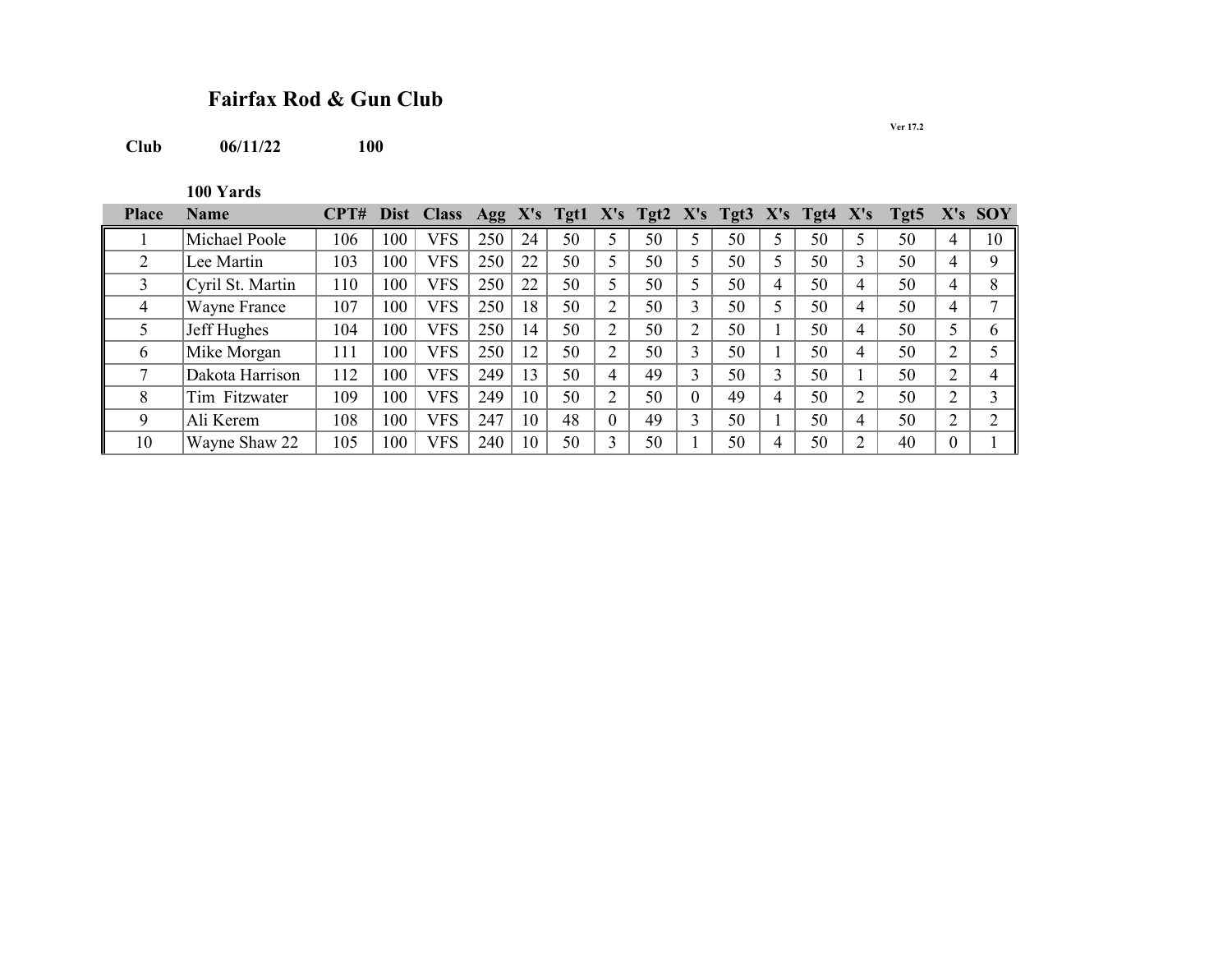## **Fairfax Rod & Gun Club**

**Club 06/11/22** 

**100 Yards**

| <b>Place</b> | Name             | CPT# |     | Dist Class |     |    |    |   | Agg X's Tgt1 X's Tgt2 X's Tgt3 X's Tgt4 X's |                |    |    |   | Tgt5 X's SOY |          |             |
|--------------|------------------|------|-----|------------|-----|----|----|---|---------------------------------------------|----------------|----|----|---|--------------|----------|-------------|
|              | Michael Poole    | 106  | 100 | <b>VFS</b> | 250 | 24 | 50 |   | 50                                          |                | 50 | 50 |   | 50           |          | 10          |
|              | Lee Martin       | 103  | 100 | VFS        | 250 | 22 | 50 |   | 50                                          | 5              | 50 | 50 | 3 | 50           | 4        |             |
|              | Cyril St. Martin | 110  | 100 | <b>VFS</b> | 250 | 22 | 50 |   | 50                                          | 5              | 50 | 50 | 4 | 50           | 4        | 8           |
|              | Wayne France     | 107  | 100 | <b>VFS</b> | 250 | 18 | 50 |   | 50                                          | 3              | 50 | 50 | 4 | 50           | 4        |             |
|              | Jeff Hughes      | 104  | 100 | VFS        | 250 | 14 | 50 | ◠ | 50                                          | $\overline{2}$ | 50 | 50 | 4 | 50           | 5        |             |
| b            | Mike Morgan      | 111  | 100 | VFS        | 250 | 12 | 50 | ◠ | 50                                          | 3              | 50 | 50 | 4 | 50           | 2        |             |
|              | Dakota Harrison  | 112  | 100 | VFS        | 249 | 13 | 50 | 4 | 49                                          | 3              | 50 | 50 |   | 50           | 2        |             |
| 8            | Tim Fitzwater    | 109  | 100 | <b>VFS</b> | 249 | 10 | 50 | ◠ | 50                                          | $\theta$       | 49 | 50 | ↑ | 50           | ↑        | $\mathbf 3$ |
| Q            | Ali Kerem        | 108  | 100 | <b>VFS</b> | 247 | 10 | 48 |   | 49                                          | 3              | 50 | 50 | 4 | 50           | ↑        |             |
| 10           | Wayne Shaw 22    | 105  | 100 | VFS        | 240 | 10 | 50 |   | 50                                          |                | 50 | 50 |   | 40           | $\theta$ |             |

**Ver 17.2**